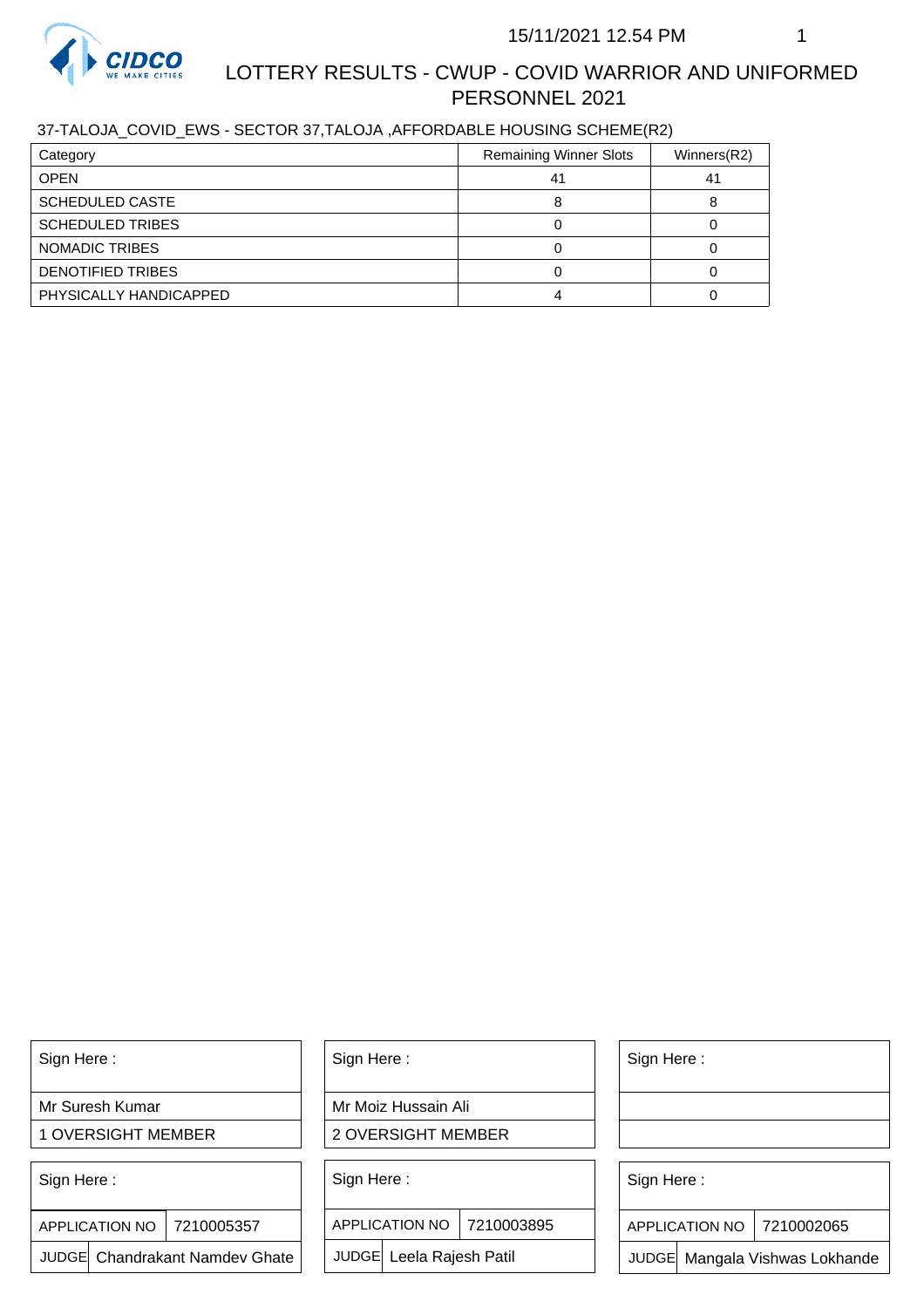

# LOTTERY RESULTS - CWUP - COVID WARRIOR AND UNIFORMED PERSONNEL 2021

## 37-TALOJA\_COVID\_EWS - SECTOR 37,TALOJA ,AFFORDABLE HOUSING SCHEME(R2)

| Category                | <b>Remaining Winner Slots</b> | Winners(R2) |
|-------------------------|-------------------------------|-------------|
| <b>OPEN</b>             | 41                            | 41          |
| <b>SCHEDULED CASTE</b>  |                               |             |
| <b>SCHEDULED TRIBES</b> |                               |             |
| NOMADIC TRIBES          |                               |             |
| DENOTIFIED TRIBES       |                               |             |
| PHYSICALLY HANDICAPPED  |                               |             |

Sign Here :

Mr Suresh Kumar

1 OVERSIGHT MEMBER

Sign Here :

APPLICATION NO | 7210005357

JUDGE Chandrakant Namdev Ghate

Sign Here :

Mr Moiz Hussain Ali

2 OVERSIGHT MEMBER

Sign Here :

APPLICATION NO 7210003895

JUDGE Leela Rajesh Patil

Sign Here :

Sign Here :

APPLICATION NO | 7210002065

Chandrakant Namdev Ghate  $|\quad|$  JUDGE Leela Rajesh Patil  $|\quad|$  JUDGE Mangala Vishwas Lokhande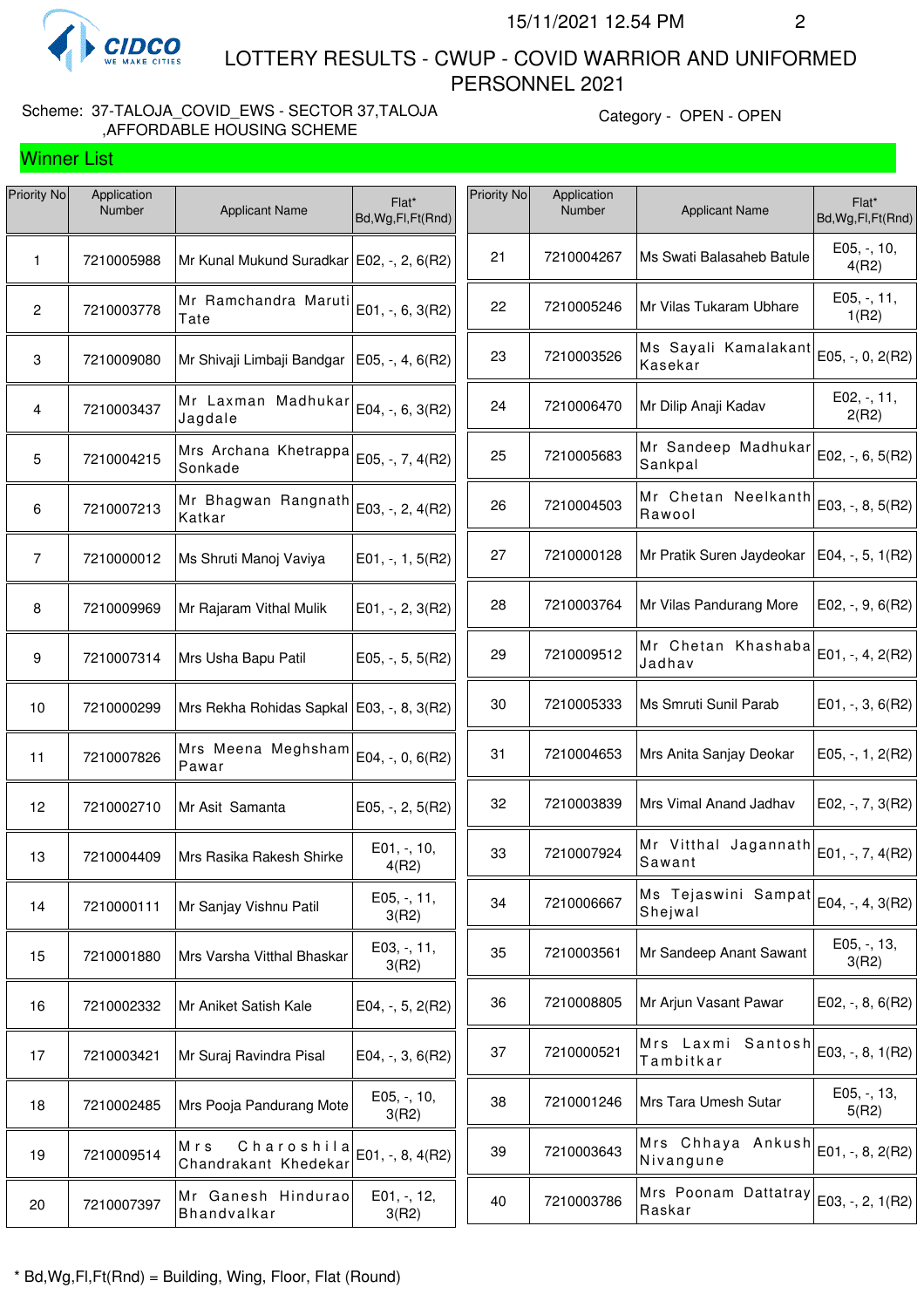

Winner List

 LOTTERY RESULTS - CWUP - COVID WARRIOR AND UNIFORMED PERSONNEL 2021

#### Scheme: 37-TALOJA\_COVID\_EWS - SECTOR 37,TALOJA ,AFFORDABLE HOUSING SCHEME

Category - OPEN - OPEN

| Priority No     | Application<br>Number | <b>Applicant Name</b>                       | Flat*<br>Bd, Wg, Fl, Ft (Rnd) | Priority No | Application<br>Number | <b>Applicant Name</b>           | Flat*<br>Bd, Wg, Fl, Ft (Rnd) |
|-----------------|-----------------------|---------------------------------------------|-------------------------------|-------------|-----------------------|---------------------------------|-------------------------------|
| 1               | 7210005988            | Mr Kunal Mukund Suradkar   E02, -, 2, 6(R2) |                               | 21          | 7210004267            | Ms Swati Balasaheb Batule       | E05, -, 10,<br>4(R2)          |
| $\mathbf{2}$    | 7210003778            | Mr Ramchandra Maruti<br>Tate                | E01, -, 6, 3(R2)              | 22          | 7210005246            | Mr Vilas Tukaram Ubhare         | E05, -, 11,<br>1(R2)          |
| 3               | 7210009080            | Mr Shivaji Limbaji Bandgar                  | $E05, -, 4, 6(R2)$            | 23          | 7210003526            | Ms Sayali Kamalakant<br>Kasekar | E05, -, 0, 2(R2)              |
| $\overline{4}$  | 7210003437            | Mr Laxman Madhukar<br>Jagdale               | E04, -, 6, 3(R2)              | 24          | 7210006470            | Mr Dilip Anaji Kadav            | E02, -, 11,<br>2(R2)          |
| $5\phantom{.0}$ | 7210004215            | Mrs Archana Khetrappa<br>Sonkade            | E05, -, 7, 4(R2)              | 25          | 7210005683            | Mr Sandeep Madhukar<br>Sankpal  | E02, -, 6, 5(R2)              |
| 6               | 7210007213            | Mr Bhagwan Rangnath<br>Katkar               | E03, -, 2, 4(R2)              | 26          | 7210004503            | Mr Chetan Neelkanth<br>Rawool   | E03, -, 8, 5(R2)              |
| $\overline{7}$  | 7210000012            | Ms Shruti Manoj Vaviya                      | $E01, -1, 1, 5(R2)$           | 27          | 7210000128            | Mr Pratik Suren Jaydeokar       | E04, -, 5, 1(R2)              |
| 8               | 7210009969            | Mr Rajaram Vithal Mulik                     | $E01, -2, 3(R2)$              | 28          | 7210003764            | Mr Vilas Pandurang More         | $E02, -, 9, 6(R2)$            |
| 9               | 7210007314            | Mrs Usha Bapu Patil                         | $E05, -, 5, 5(R2)$            | 29          | 7210009512            | Mr Chetan Khashaba<br>Jadhav    | E01, -, 4, 2(R2)              |
| 10              | 7210000299            | Mrs Rekha Rohidas Sapkal   E03, -, 8, 3(R2) |                               | 30          | 7210005333            | Ms Smruti Sunil Parab           | E01, $-$ , 3, 6(R2)           |
| 11              | 7210007826            | Mrs Meena Meghsham<br>Pawar                 | E04, -, 0, 6(R2)              | 31          | 7210004653            | Mrs Anita Sanjay Deokar         | E05, $-$ , 1, 2(R2)           |
| 12              | 7210002710            | Mr Asit Samanta                             | E05, -, 2, 5(R2)              | 32          | 7210003839            | Mrs Vimal Anand Jadhav          | E02, $-$ , $7$ , $3(R2)$      |
| 13              | 7210004409            | Mrs Rasika Rakesh Shirke                    | E01, -, 10,<br>4(R2)          | 33          | 7210007924            | Mr Vitthal Jagannath<br>Sawant  | E01, -, 7, 4(R2)              |
| 14              | 7210000111            | Mr Sanjay Vishnu Patil                      | E05, -, 11,<br>3(R2)          | 34          | 7210006667            | Ms Tejaswini Sampat<br>Shejwal  | E04, -, 4, 3(R2)              |
| 15              | 7210001880            | Mrs Varsha Vitthal Bhaskar                  | E03, -, 11,<br>3(R2)          | 35          | 7210003561            | Mr Sandeep Anant Sawant         | $E05, -13,$<br>3(R2)          |
| 16              | 7210002332            | Mr Aniket Satish Kale                       | E04, $-$ , 5, 2(R2)           | 36          | 7210008805            | Mr Arjun Vasant Pawar           | E02, $-$ , 8, 6(R2)           |
| 17              | 7210003421            | Mr Suraj Ravindra Pisal                     | $E04, -3, 6(R2)$              | 37          | 7210000521            | Mrs Laxmi Santosh<br>Tambitkar  | E03, -, 8, 1(R2)              |
| 18              | 7210002485            | Mrs Pooja Pandurang Mote                    | E05, -, 10,<br>3(R2)          | 38          | 7210001246            | Mrs Tara Umesh Sutar            | $E05, -13,$<br>5(R2)          |
| 19              | 7210009514            | Charoshila<br>Mrs<br>Chandrakant Khedekar   | E01, -, 8, 4(R2)              | 39          | 7210003643            | Mrs Chhaya Ankush<br>Nivangune  | E01, -, 8, 2(R2)              |
| 20              | 7210007397            | Mr Ganesh Hindurao<br>Bhandvalkar           | $E01, -12,$<br>3(R2)          | 40          | 7210003786            | Mrs Poonam Dattatray<br>Raskar  | E03, -, 2, 1(R2)              |
|                 |                       |                                             |                               |             |                       |                                 |                               |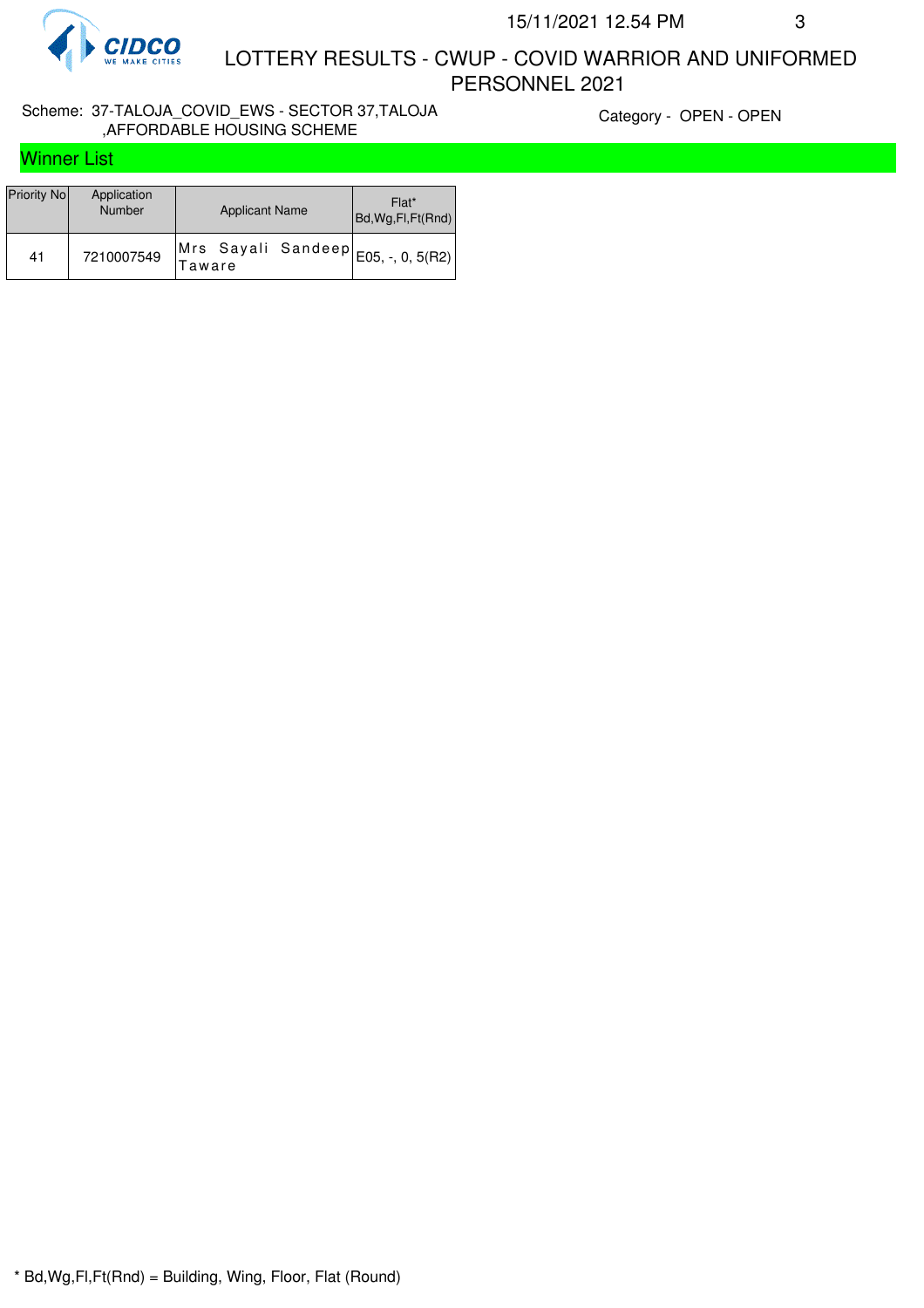

 LOTTERY RESULTS - CWUP - COVID WARRIOR AND UNIFORMED PERSONNEL 2021

#### Scheme: 37-TALOJA\_COVID\_EWS - SECTOR 37,TALOJA ,AFFORDABLE HOUSING SCHEME

Category - OPEN - OPEN

# Winner List

| Priority No | Application<br>Number | <b>Applicant Name</b>         | Flat*<br>Bd, Wg, Fl, Ft (Rnd) |
|-------------|-----------------------|-------------------------------|-------------------------------|
| 41          | 7210007549            | Mrs Sayali Sandeep <br>Taware |                               |